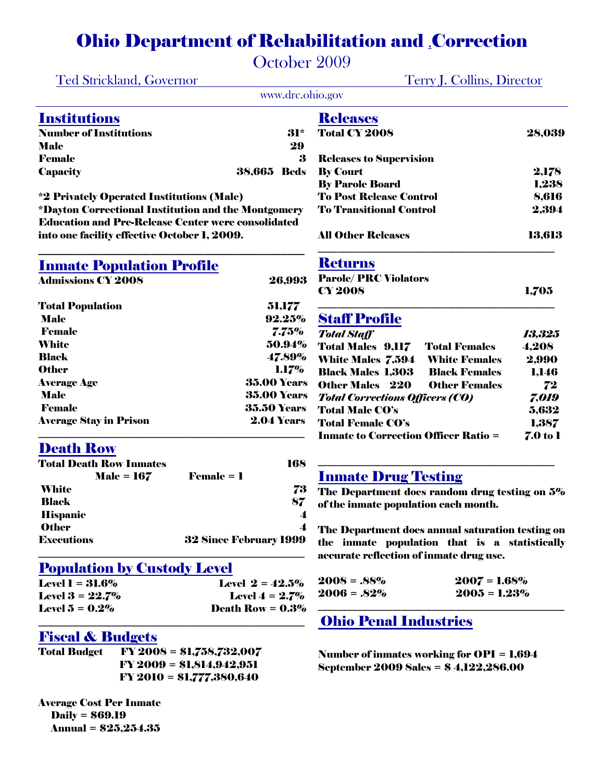## Ohio Department of Rehabilitation and ,Correction

October 2009

|                                | <b>Ted Strickland, Governor</b>                           | <b>Terry J. Collins, Director</b>                                                        |                   |
|--------------------------------|-----------------------------------------------------------|------------------------------------------------------------------------------------------|-------------------|
|                                | www.drc.ohio.gov                                          |                                                                                          |                   |
| <b>Institutions</b>            |                                                           | <b>Releases</b>                                                                          |                   |
| <b>Number of Institutions</b>  | 31*                                                       | <b>Total CY 2008</b>                                                                     | 28,039            |
| <b>Male</b>                    | 29                                                        |                                                                                          |                   |
| <b>Female</b>                  | 3                                                         | <b>Releases to Supervision</b>                                                           |                   |
| <b>Capacity</b>                | <b>38,665 Beds</b>                                        | <b>By Court</b>                                                                          | 2,178             |
|                                |                                                           | <b>By Parole Board</b>                                                                   | 1,238             |
|                                | <i>*2</i> Privately Operated Institutions (Male)          | <b>To Post Release Control</b>                                                           | 8,616             |
|                                | *Dayton Correctional Institution and the Montgomery       | <b>To Transitional Control</b>                                                           | 2,394             |
|                                | <b>Education and Pre-Release Center were consolidated</b> |                                                                                          |                   |
|                                | into one facility effective October 1, 2009.              | <b>All Other Releases</b>                                                                | 13,613            |
|                                | <b>Inmate Population Profile</b>                          | <b>Returns</b>                                                                           |                   |
| <b>Admissions CY 2008</b>      | 26,993                                                    | <b>Parole/PRC Violators</b>                                                              |                   |
|                                |                                                           | <b>CY 2008</b>                                                                           | 1,705             |
| <b>Total Population</b>        | 51,177                                                    |                                                                                          |                   |
| <b>Male</b>                    | 92.25%                                                    | <b>Staff Profile</b>                                                                     |                   |
| <b>Female</b>                  | 7.75%                                                     | <b>Total Staff</b>                                                                       | 13,325            |
| White                          | 50.94%                                                    | <b>Total Males 9,117</b><br><b>Total Females</b>                                         | 4,208             |
| <b>Black</b>                   | 47.89%                                                    | <b>White Females</b><br><b>White Males 7,594</b>                                         | 2,990             |
| <b>Other</b>                   | 1.17%                                                     | <b>Black Males 1,303</b><br><b>Black Females</b>                                         | 1,146             |
| <b>Average Age</b>             | <b>35.00 Years</b>                                        | <b>Other Males</b> 220<br><b>Other Females</b>                                           |                   |
| <b>Male</b>                    | <b>35.00 Years</b>                                        |                                                                                          | 72                |
| <b>Female</b>                  | <b>35.50 Years</b>                                        | <b>Total Corrections Officers (CO)</b><br><b>Total Male CO's</b>                         | 7,019             |
| <b>Average Stay in Prison</b>  | <b>2.04 Years</b>                                         | <b>Total Female CO's</b>                                                                 | 5,632             |
|                                |                                                           | <b>Inmate to Correction Officer Ratio =</b>                                              | 1,387<br>7.0 to 1 |
| <b>Death Row</b>               |                                                           |                                                                                          |                   |
| <b>Total Death Row Inmates</b> | 168                                                       |                                                                                          |                   |
|                                | $\bf Female = 1$<br>$Male = 167$                          | <b>Inmate Drug Testing</b>                                                               |                   |
| <b>White</b>                   | 73                                                        | The Department does random drug testing on 5%                                            |                   |
| <b>Black</b>                   | 87                                                        | of the inmate population each month.                                                     |                   |
| <b>Hispanic</b>                | 4                                                         |                                                                                          |                   |
| <b>Other</b>                   | $\boldsymbol{4}$                                          | The Department does annual saturation testing on                                         |                   |
| <b>Executions</b>              | <b>32 Since February 1999</b>                             | the inmate population that is a statistically<br>accurate reflection of inmate drug use. |                   |
|                                | <b>Population by Custody Level</b>                        |                                                                                          |                   |
| <b>Level 1 = 31.6%</b>         | Level $2 = 42.5\%$                                        | $2008 = .88\%$<br>$2007 = 1.68\%$                                                        |                   |
| Level $3 = 22.7%$              | Level $4 = 2.7%$                                          | $2006 = .82\%$<br>$2005 = 1.23\%$                                                        |                   |
| Level $5 = 0.2\%$              | Death Row = $0.3\%$                                       |                                                                                          |                   |
|                                |                                                           | <b>Ohio Penal Industries</b>                                                             |                   |
| <b>Fiscal &amp; Budgets</b>    |                                                           |                                                                                          |                   |
| <b>Total Budget</b>            | $FY 2008 = $1,758,732,007$                                | Number of inmates working for $OPI = 1,694$                                              |                   |
|                                | $FY 2009 = $1,814,942,951$                                | September 2009 Sales = \$4,122,286.00                                                    |                   |
|                                | FY 2010 = \$1,777,380,640                                 |                                                                                          |                   |

Average Cost Per Inmate Daily = \$69.19 Annual = \$25,254.35